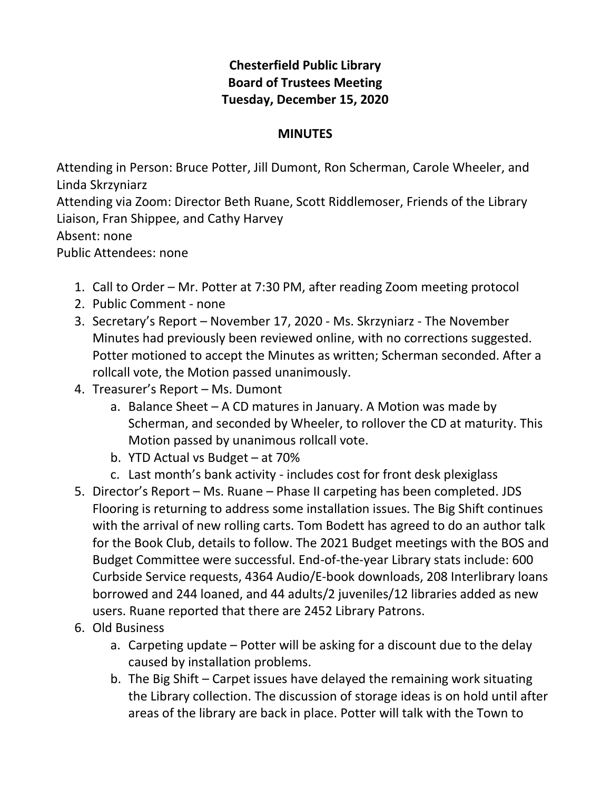## **Chesterfield Public Library Board of Trustees Meeting Tuesday, December 15, 2020**

## **MINUTES**

Attending in Person: Bruce Potter, Jill Dumont, Ron Scherman, Carole Wheeler, and Linda Skrzyniarz

Attending via Zoom: Director Beth Ruane, Scott Riddlemoser, Friends of the Library Liaison, Fran Shippee, and Cathy Harvey

Absent: none

Public Attendees: none

- 1. Call to Order Mr. Potter at 7:30 PM, after reading Zoom meeting protocol
- 2. Public Comment none
- 3. Secretary's Report November 17, 2020 Ms. Skrzyniarz The November Minutes had previously been reviewed online, with no corrections suggested. Potter motioned to accept the Minutes as written; Scherman seconded. After a rollcall vote, the Motion passed unanimously.
- 4. Treasurer's Report Ms. Dumont
	- a. Balance Sheet A CD matures in January. A Motion was made by Scherman, and seconded by Wheeler, to rollover the CD at maturity. This Motion passed by unanimous rollcall vote.
	- b. YTD Actual vs Budget at 70%
	- c. Last month's bank activity includes cost for front desk plexiglass
- 5. Director's Report Ms. Ruane Phase II carpeting has been completed. JDS Flooring is returning to address some installation issues. The Big Shift continues with the arrival of new rolling carts. Tom Bodett has agreed to do an author talk for the Book Club, details to follow. The 2021 Budget meetings with the BOS and Budget Committee were successful. End-of-the-year Library stats include: 600 Curbside Service requests, 4364 Audio/E-book downloads, 208 Interlibrary loans borrowed and 244 loaned, and 44 adults/2 juveniles/12 libraries added as new users. Ruane reported that there are 2452 Library Patrons.
- 6. Old Business
	- a. Carpeting update Potter will be asking for a discount due to the delay caused by installation problems.
	- b. The Big Shift Carpet issues have delayed the remaining work situating the Library collection. The discussion of storage ideas is on hold until after areas of the library are back in place. Potter will talk with the Town to